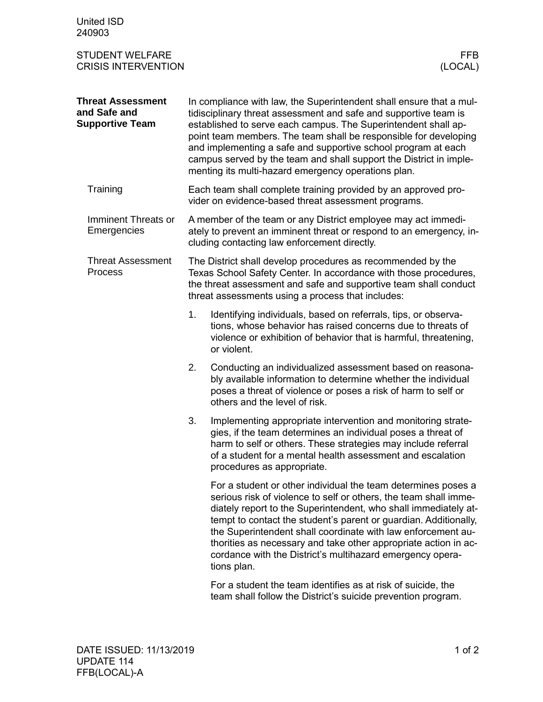| <b>United ISD</b><br>240903                                        |                                                                                                                                                                                                                                                                                                                                                                                                                                                                             |                                                                                                                                                                                                                                                                                                                                                                                                                                                                                         |
|--------------------------------------------------------------------|-----------------------------------------------------------------------------------------------------------------------------------------------------------------------------------------------------------------------------------------------------------------------------------------------------------------------------------------------------------------------------------------------------------------------------------------------------------------------------|-----------------------------------------------------------------------------------------------------------------------------------------------------------------------------------------------------------------------------------------------------------------------------------------------------------------------------------------------------------------------------------------------------------------------------------------------------------------------------------------|
| <b>STUDENT WELFARE</b><br><b>CRISIS INTERVENTION</b>               |                                                                                                                                                                                                                                                                                                                                                                                                                                                                             | FFB<br>(LOCAL)                                                                                                                                                                                                                                                                                                                                                                                                                                                                          |
| <b>Threat Assessment</b><br>and Safe and<br><b>Supportive Team</b> | In compliance with law, the Superintendent shall ensure that a mul-<br>tidisciplinary threat assessment and safe and supportive team is<br>established to serve each campus. The Superintendent shall ap-<br>point team members. The team shall be responsible for developing<br>and implementing a safe and supportive school program at each<br>campus served by the team and shall support the District in imple-<br>menting its multi-hazard emergency operations plan. |                                                                                                                                                                                                                                                                                                                                                                                                                                                                                         |
| Training                                                           | Each team shall complete training provided by an approved pro-<br>vider on evidence-based threat assessment programs.                                                                                                                                                                                                                                                                                                                                                       |                                                                                                                                                                                                                                                                                                                                                                                                                                                                                         |
| Imminent Threats or<br>Emergencies                                 | A member of the team or any District employee may act immedi-<br>ately to prevent an imminent threat or respond to an emergency, in-<br>cluding contacting law enforcement directly.                                                                                                                                                                                                                                                                                        |                                                                                                                                                                                                                                                                                                                                                                                                                                                                                         |
| <b>Threat Assessment</b><br>Process                                | The District shall develop procedures as recommended by the<br>Texas School Safety Center. In accordance with those procedures,<br>the threat assessment and safe and supportive team shall conduct<br>threat assessments using a process that includes:                                                                                                                                                                                                                    |                                                                                                                                                                                                                                                                                                                                                                                                                                                                                         |
|                                                                    | 1.                                                                                                                                                                                                                                                                                                                                                                                                                                                                          | Identifying individuals, based on referrals, tips, or observa-<br>tions, whose behavior has raised concerns due to threats of<br>violence or exhibition of behavior that is harmful, threatening,<br>or violent.                                                                                                                                                                                                                                                                        |
|                                                                    | 2.                                                                                                                                                                                                                                                                                                                                                                                                                                                                          | Conducting an individualized assessment based on reasona-<br>bly available information to determine whether the individual<br>poses a threat of violence or poses a risk of harm to self or<br>others and the level of risk.                                                                                                                                                                                                                                                            |
|                                                                    | 3.                                                                                                                                                                                                                                                                                                                                                                                                                                                                          | Implementing appropriate intervention and monitoring strate-<br>gies, if the team determines an individual poses a threat of<br>harm to self or others. These strategies may include referral<br>of a student for a mental health assessment and escalation<br>procedures as appropriate.                                                                                                                                                                                               |
|                                                                    |                                                                                                                                                                                                                                                                                                                                                                                                                                                                             | For a student or other individual the team determines poses a<br>serious risk of violence to self or others, the team shall imme-<br>diately report to the Superintendent, who shall immediately at-<br>tempt to contact the student's parent or guardian. Additionally,<br>the Superintendent shall coordinate with law enforcement au-<br>thorities as necessary and take other appropriate action in ac-<br>cordance with the District's multihazard emergency opera-<br>tions plan. |
|                                                                    |                                                                                                                                                                                                                                                                                                                                                                                                                                                                             | For a student the team identifies as at risk of suicide, the<br>team shall follow the District's suicide prevention program.                                                                                                                                                                                                                                                                                                                                                            |